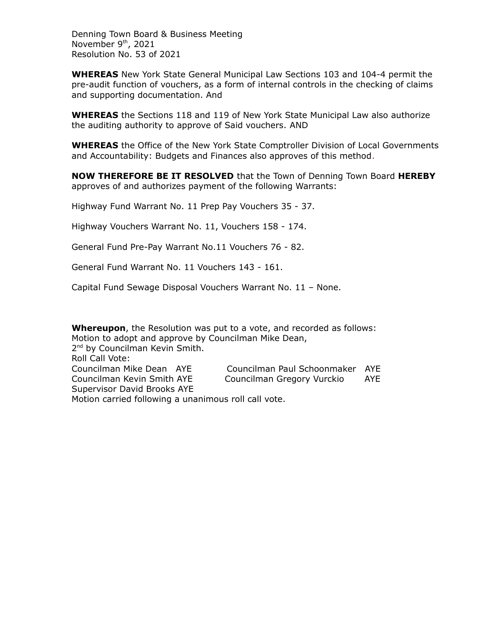Denning Town Board & Business Meeting November 9<sup>th</sup>, 2021 Resolution No. 53 of 2021

**WHEREAS** New York State General Municipal Law Sections 103 and 104-4 permit the pre-audit function of vouchers, as a form of internal controls in the checking of claims and supporting documentation. And

**WHEREAS** the Sections 118 and 119 of New York State Municipal Law also authorize the auditing authority to approve of Said vouchers. AND

**WHEREAS** the Office of the New York State Comptroller Division of Local Governments and Accountability: Budgets and Finances also approves of this method.

**NOW THEREFORE BE IT RESOLVED** that the Town of Denning Town Board **HEREBY** approves of and authorizes payment of the following Warrants:

Highway Fund Warrant No. 11 Prep Pay Vouchers 35 - 37.

Highway Vouchers Warrant No. 11, Vouchers 158 - 174.

General Fund Pre-Pay Warrant No.11 Vouchers 76 - 82.

General Fund Warrant No. 11 Vouchers 143 - 161.

Capital Fund Sewage Disposal Vouchers Warrant No. 11 – None.

**Whereupon**, the Resolution was put to a vote, and recorded as follows: Motion to adopt and approve by Councilman Mike Dean,

2<sup>nd</sup> by Councilman Kevin Smith. Roll Call Vote: Councilman Mike Dean AYE Councilman Paul Schoonmaker AYE Councilman Kevin Smith AYE Councilman Gregory Vurckio AYE Supervisor David Brooks AYE Motion carried following a unanimous roll call vote.